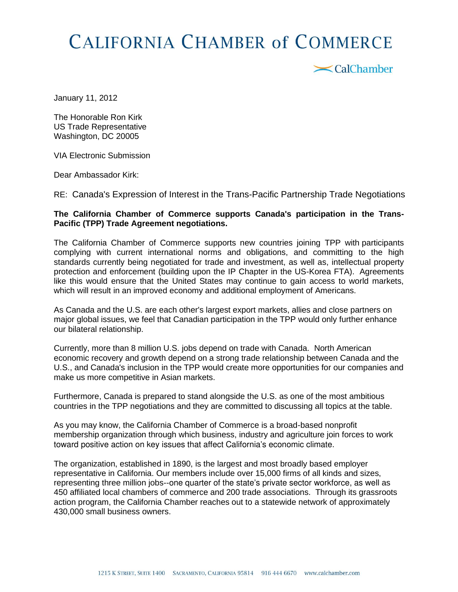## **CALIFORNIA CHAMBER of COMMERCE**

 $\mathbf{X}$ CalChamber

January 11, 2012

The Honorable Ron Kirk US Trade Representative Washington, DC 20005

VIA Electronic Submission

Dear Ambassador Kirk:

RE: Canada's Expression of Interest in the Trans-Pacific Partnership Trade Negotiations

## **The California Chamber of Commerce supports Canada's participation in the Trans-Pacific (TPP) Trade Agreement negotiations.**

The California Chamber of Commerce supports new countries joining TPP with participants complying with current international norms and obligations, and committing to the high standards currently being negotiated for trade and investment, as well as, intellectual property protection and enforcement (building upon the IP Chapter in the US-Korea FTA). Agreements like this would ensure that the United States may continue to gain access to world markets, which will result in an improved economy and additional employment of Americans.

As Canada and the U.S. are each other's largest export markets, allies and close partners on major global issues, we feel that Canadian participation in the TPP would only further enhance our bilateral relationship.

Currently, more than 8 million U.S. jobs depend on trade with Canada. North American economic recovery and growth depend on a strong trade relationship between Canada and the U.S., and Canada's inclusion in the TPP would create more opportunities for our companies and make us more competitive in Asian markets.

Furthermore, Canada is prepared to stand alongside the U.S. as one of the most ambitious countries in the TPP negotiations and they are committed to discussing all topics at the table.

As you may know, the California Chamber of Commerce is a broad-based nonprofit membership organization through which business, industry and agriculture join forces to work toward positive action on key issues that affect California's economic climate.

The organization, established in 1890, is the largest and most broadly based employer representative in California. Our members include over 15,000 firms of all kinds and sizes, representing three million jobs--one quarter of the state's private sector workforce, as well as 450 affiliated local chambers of commerce and 200 trade associations. Through its grassroots action program, the California Chamber reaches out to a statewide network of approximately 430,000 small business owners.